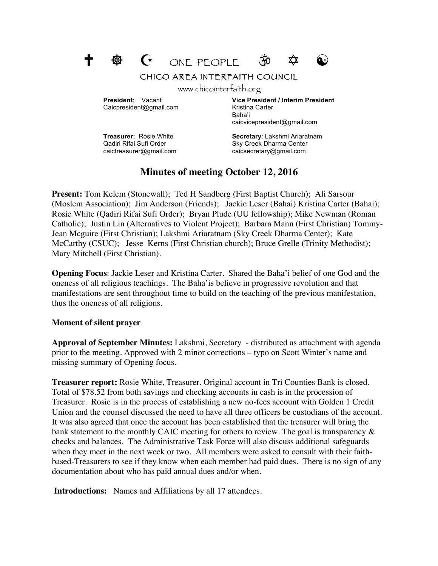

CHICO AREA INTERFAITH COUNCIL

www.chicointerfaith.org

Caicpresident@gmail.com Kristina Carter

**President**: Vacant **Vice President / Interim President** Baha'i caicvicepresident@gmail.com

caictreasurer@gmail.com caicsecretary@gmail.com

**Treasurer:** Rosie White **Secretary:** Lakshmi Ariaratnam Qadiri Rifai Sufi Order Sky Creek Dharma Center

# **Minutes of meeting October 12, 2016**

**Present:** Tom Kelem (Stonewall); Ted H Sandberg (First Baptist Church); Ali Sarsour (Moslem Association); Jim Anderson (Friends); Jackie Leser (Bahai) Kristina Carter (Bahai); Rosie White (Qadiri Rifai Sufi Order); Bryan Plude (UU fellowship); Mike Newman (Roman Catholic); Justin Lin (Alternatives to Violent Project); Barbara Mann (First Christian) Tommy-Jean Mcguire (First Christian); Lakshmi Ariaratnam (Sky Creek Dharma Center); Kate McCarthy (CSUC); Jesse Kerns (First Christian church); Bruce Grelle (Trinity Methodist); Mary Mitchell (First Christian).

**Opening Focus**: Jackie Leser and Kristina Carter. Shared the Baha'i belief of one God and the oneness of all religious teachings. The Baha'is believe in progressive revolution and that manifestations are sent throughout time to build on the teaching of the previous manifestation, thus the oneness of all religions.

### **Moment of silent prayer**

**Approval of September Minutes:** Lakshmi, Secretary - distributed as attachment with agenda prior to the meeting. Approved with 2 minor corrections – typo on Scott Winter's name and missing summary of Opening focus.

**Treasurer report:** Rosie White, Treasurer. Original account in Tri Counties Bank is closed. Total of \$78.52 from both savings and checking accounts in cash is in the procession of Treasurer. Rosie is in the process of establishing a new no-fees account with Golden 1 Credit Union and the counsel discussed the need to have all three officers be custodians of the account. It was also agreed that once the account has been established that the treasurer will bring the bank statement to the monthly CAIC meeting for others to review. The goal is transparency & checks and balances. The Administrative Task Force will also discuss additional safeguards when they meet in the next week or two. All members were asked to consult with their faithbased-Treasurers to see if they know when each member had paid dues. There is no sign of any documentation about who has paid annual dues and/or when.

**Introductions:** Names and Affiliations by all 17 attendees.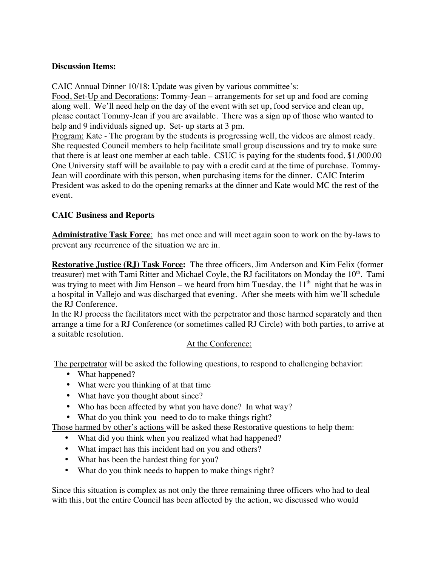## **Discussion Items:**

CAIC Annual Dinner 10/18: Update was given by various committee's:

Food, Set-Up and Decorations: Tommy-Jean – arrangements for set up and food are coming along well. We'll need help on the day of the event with set up, food service and clean up, please contact Tommy-Jean if you are available. There was a sign up of those who wanted to help and 9 individuals signed up. Set- up starts at 3 pm.

Program: Kate - The program by the students is progressing well, the videos are almost ready. She requested Council members to help facilitate small group discussions and try to make sure that there is at least one member at each table. CSUC is paying for the students food, \$1,000.00 One University staff will be available to pay with a credit card at the time of purchase. Tommy-Jean will coordinate with this person, when purchasing items for the dinner. CAIC Interim President was asked to do the opening remarks at the dinner and Kate would MC the rest of the event.

## **CAIC Business and Reports**

**Administrative Task Force**: has met once and will meet again soon to work on the by-laws to prevent any recurrence of the situation we are in.

**Restorative Justice (RJ) Task Force:** The three officers, Jim Anderson and Kim Felix (former treasurer) met with Tami Ritter and Michael Coyle, the RJ facilitators on Monday the  $10<sup>th</sup>$ . Tami was trying to meet with Jim Henson – we heard from him Tuesday, the  $11<sup>th</sup>$  night that he was in a hospital in Vallejo and was discharged that evening. After she meets with him we'll schedule the RJ Conference.

In the RJ process the facilitators meet with the perpetrator and those harmed separately and then arrange a time for a RJ Conference (or sometimes called RJ Circle) with both parties, to arrive at a suitable resolution.

### At the Conference:

The perpetrator will be asked the following questions, to respond to challenging behavior:

- What happened?
- What were you thinking of at that time
- What have you thought about since?
- Who has been affected by what you have done? In what way?
- What do you think you need to do to make things right?

Those harmed by other's actions will be asked these Restorative questions to help them:

- What did you think when you realized what had happened?
- What impact has this incident had on you and others?
- What has been the hardest thing for you?
- What do you think needs to happen to make things right?

Since this situation is complex as not only the three remaining three officers who had to deal with this, but the entire Council has been affected by the action, we discussed who would